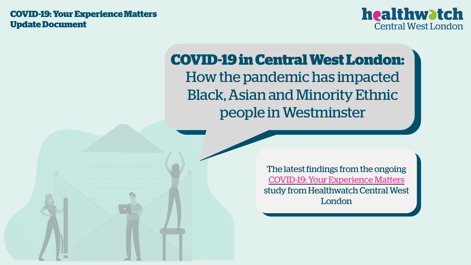**COVID-19: Your Experience Matters Update Document**



# **COVID-19 in Central West London:** How the pandemic has impacted Black, Asian and Minority Ethnic people in Westminster

The latest findings from the ongoing [COVID-19: Your Experience Matters](https://www.surveymonkey.co.uk/r/YourExpMatters) study from Healthwatch Central West London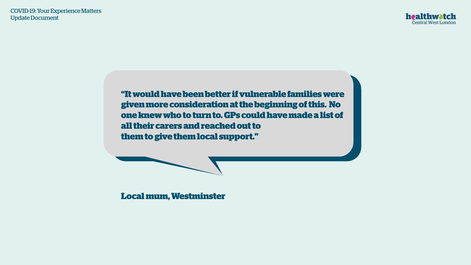

**"It would have been better if vulnerable families were given more consideration at the beginning of this. No one knew who to turn to. GPs could have made a list of all their carers and reached out to them to give them local support."**

**Local mum, Westminster**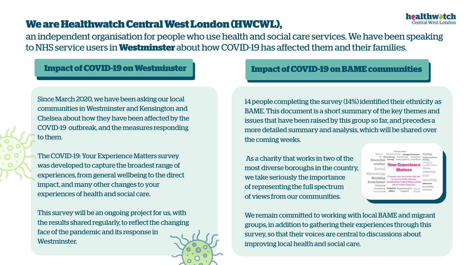## **We are Healthwatch Central West London (HWCWL),**

an independent organisation for people who use health and social care services. We have been speaking to NHS service users in **Westminster** about how COVID-19 has affected them and their families.

Since March 2020, we have been asking our local communities in Westminster and Kensington and Chelsea about how they have been affected by the COVID-19 outbreak, and the measures responding to them.

The COVID-19: Your Experience Matters survey was developed to capture the broadest range of experiences, from general wellbeing to the direct impact, and many other changes to your experiences of health and social care.

This survey will be an ongoing project for us, with the results shared regularly, to reflect the changing face of the pandemic and its response in Westminster.

#### **Impact of COVID-19 on Westminster Impact of COVID-19 on BAME communities**

14 people completing the survey (14%) identified their ethnicity as BAME. This document is a short summary of the key themes and issues that have been raised by this group so far, and precedes a more detailed summary and analysis, which will be shared over the coming weeks.

As a charity that works in two of the most diverse boroughs in the country, we take seriously the importance of representing the full spectrum of views from our communities.

Your Experience Social distancin Workins from hom ntral West Londor services

**Central West London** 

We remain committed to working with local BAME and migrant groups, in addition to gathering their experiences through this survey, so that their voices are central to discussions about improving local health and social care.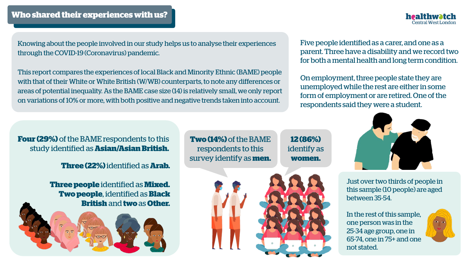

Knowing about the people involved in our study helps us to analyse their experiences through the COVID-19 (Coronavirus) pandemic.

This report compares the experiences of local Black and Minority Ethnic (BAME) people with that of their White or White British (W/WB) counterparts, to note any differences or areas of potential inequality. As the BAME case size (14) is relatively small, we only report on variations of 10% or more, with both positive and negative trends taken into account.

Five people identified as a carer, and one as a parent. Three have a disability and we record two for both a mental health and long term condition.

On employment, three people state they are unemployed while the rest are either in some form of employment or are retired. One of the respondents said they were a student.

**Four (29%)** of the BAME respondents to this study identified as **Asian/Asian British.** 

**Three (22%)** identified as **Arab.**

**Three people** identified as **Mixed. Two people**, identified as **Black British** and **two** as **Other.**



**Two (14%)** of the BAME respondents to this survey identify as **men.**

**12 (86%)**  identify as **women.**



Just over two thirds of people in this sample (10 people) are aged between 35-54.

In the rest of this sample, one person was in the 25-34 age group, one in 65-74, one in 75+ and one not stated.

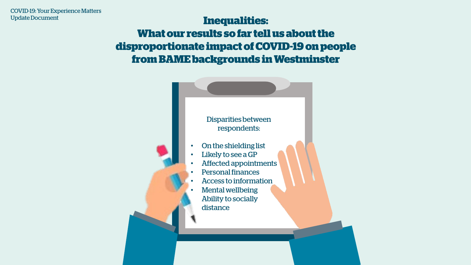## **Inequalities: What our results so far tell us about the disproportionate impact of COVID-19 on people from BAME backgrounds in Westminster**

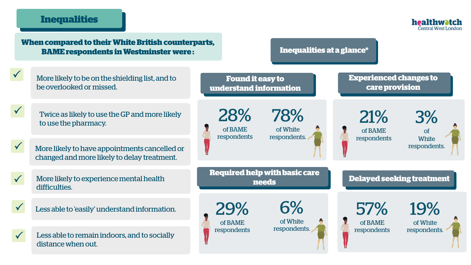#### **Inequalities**

 $\checkmark$ 

 $\checkmark$ 

 $\checkmark$ 

 $\checkmark$ 



**When compared to their White British counterparts, BAME respondents in Westminster were :** Less able to 'easily' understand information. More likely to be on the shielding list, and to be overlooked or missed.  $\checkmark$  $\checkmark$ Twice as likely to use the GP and more likely to use the pharmacy. More likely to have appointments cancelled or changed and more likely to delay treatment. More likely to experience mental health difficulties. Less able to remain indoors, and to socially distance when out. **Found it easy to understand information Required help with basic care needs** 28% of BAME respondents 78% of White respondents. 29% of BAME respondents 6% of White respondents. **Delayed seeking treatment Experienced changes to care provision** 57% of BAME respondents 19% of White respondents. 21% of BAME respondents 3% of **White** respondents. **Inequalities at a glance\***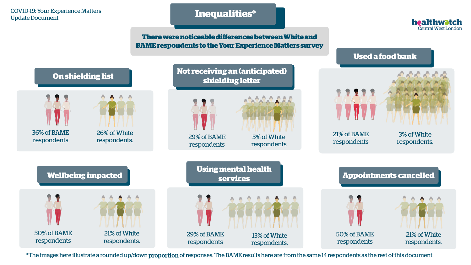#### COVID-19: Your Experience Matters COVID-19: Your Experience Matters<br>Update Document<br>
Update Document

**There were noticeable differences between White and BAME respondents to the Your Experience Matters survey** healthwatch Central West London



\*The images here illustrate a rounded up/down proportion of responses. The BAME results here are from the same 14 respondents as the rest of this document.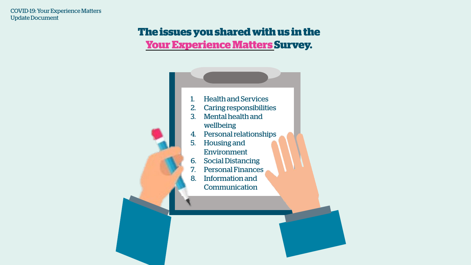## **The issues you shared with us in the [Your Experience Matters S](https://www.surveymonkey.co.uk/r/YourExpMatters)urvey.**

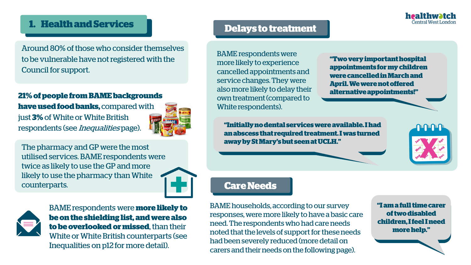## **1. Health and Services**

Around 80% of those who consider themselves to be vulnerable have not registered with the Council for support.

#### **21% of people from BAME backgrounds**

**have used food banks,** compared with just **3%** of White or White British respondents (see Inequalities page).

![](_page_8_Picture_4.jpeg)

The pharmacy and GP were the most utilised services. BAME respondents were twice as likely to use the GP and more likely to use the pharmacy than White counterparts.

![](_page_8_Picture_6.jpeg)

![](_page_8_Picture_7.jpeg)

BAME respondents were **more likely to be on the shielding list, and were also to be overlooked or missed**, than their White or White British counterparts (see Inequalities on p12 for more detail).

## **Delays to treatment**

BAME respondents were more likely to experience cancelled appointments and service changes. They were also more likely to delay their own treatment (compared to White respondents).

**"Two very important hospital appointments for my children were cancelled in March and April. We were not offered alternative appointments!"**

**"Initially no dental services were available. I had an abscess that required treatment. I was turned away by St Mary's but seen at UCLH."**

![](_page_8_Picture_13.jpeg)

healthwatch **Central West Long** 

#### **Care Needs**

BAME households, according to our survey responses, were more likely to have a basic care need. The respondents who had care needs noted that the levels of support for these needs had been severely reduced (more detail on carers and their needs on the following page).

**"I am a full time carer of two disabled children, I feel I need more help."**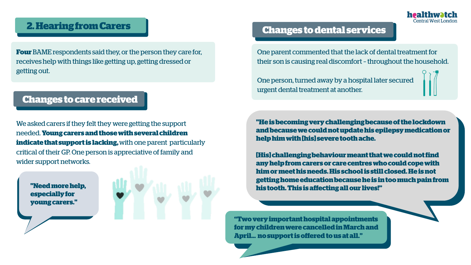### **2. Hearing from Carers**

**Four** BAME respondents said they, or the person they care for, receives help with things like getting up, getting dressed or getting out.

## **Changes to care received**

We asked carers if they felt they were getting the support needed. **Young carers and those with several children indicate that support is lacking,** with one parent particularly critical of their GP. One person is appreciative of family and wider support networks.

**especially for young carers."**

![](_page_9_Picture_6.jpeg)

#### **Changes to dental services**

One parent commented that the lack of dental treatment for their son is causing real discomfort – throughout the household.

One person, turned away by a hospital later secured urgent dental treatment at another.

**"He is becoming very challenging because of the lockdown and because we could not update his epilepsy medication or help him with [his] severe tooth ache.** 

**[His] challenging behaviour meant that we could not find any help from carers or care centres who could cope with him or meet his needs. His school is still closed. He is not getting home education because he is in too much pain from his tooth. This is affecting all our lives!"** The distortion of the state of the state of the state of the state of the state of the state of the state of the state of the state of the state of the state of the state of t

> **"Two very important hospital appointments for my children were cancelled in March and April… no support is offered to us at all."**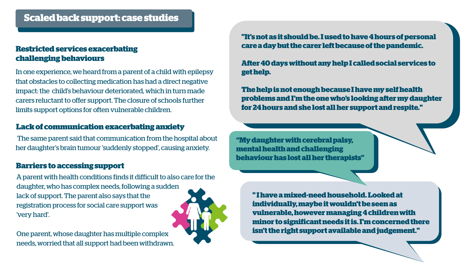## **Scaled back support: case studies**

#### **Restricted services exacerbating challenging behaviours**

In one experience, we heard from a parent of a child with epilepsy that obstacles to collecting medication has had a direct negative impact: the child's behaviour deteriorated, which in turn made carers reluctant to offer support. The closure of schools further limits support options for often vulnerable children.

#### **Lack of communication exacerbating anxiety**

The same parent said that communication from the hospital about her daughter's brain tumour 'suddenly stopped', causing anxiety.

#### **Barriers to accessing support**

A parent with health conditions finds it difficult to also care for the daughter, who has complex needs, following a sudden lack of support. The parent also says that the registration process for social care support was 'very hard'.

One parent, whose daughter has multiple complex needs, worried that all support had been withdrawn. **"It's not as it should be. I used to have 4 hours of personal care a day but the carer left because of the pandemic.** 

**After 40 days without any help I called social services to get help.** 

**The help is not enough because I have my self health problems and I'm the one who's looking after my daughter for 24 hours and she lost all her support and respite."**

**"My daughter with cerebral palsy, mental health and challenging behaviour has lost all her therapists"** 

> **" I have a mixed-need household. Looked at individually, maybe it wouldn't be seen as vulnerable, however managing 4 children with minor to significant needs it is. I'm concerned there isn't the right support available and judgement."**

![](_page_10_Picture_13.jpeg)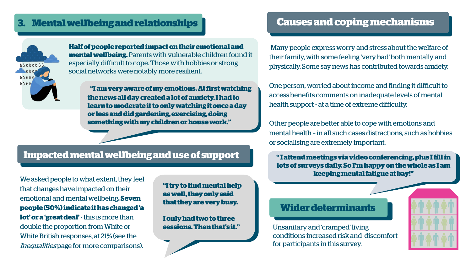## **3. Mental wellbeing and relationships**

![](_page_11_Picture_1.jpeg)

**Half of people reported impact on their emotional and mental wellbeing.**Parents with vulnerable children found it especially difficult to cope. Those with hobbies or strong social networks were notably more resilient.

**"I am very aware of my emotions. At first watching the news all day created a lot of anxiety. I had to learn to moderate it to only watching it once a day or less and did gardening, exercising, doing something with my children or house work."**

## **Impacted mental wellbeing and use of support**

We asked people to what extent, they feel that changes have impacted on their emotional and mental wellbeing**. Seven people (50%) indicate it has changed 'a lot' or a 'great deal'** - this is more than double the proportion from White or White British responses, at 21% (see the Inequalities page for more comparisons).

**"I try to find mental help as well, they only said that they are very busy.** 

**I only had two to three sessions. Then that's it."**

## **Causes and coping mechanisms**

Many people express worry and stress about the welfare of their family, with some feeling 'very bad' both mentally and physically. Some say news has contributed towards anxiety.

One person, worried about income and finding it difficult to access benefits comments on inadequate levels of mental health support - at a time of extreme difficulty.

Other people are better able to cope with emotions and mental health – in all such cases distractions, such as hobbies or socialising are extremely important.

**" I attend meetings via video conferencing, plus I fill in lots of surveys daily. So I'm happy on the whole as I am keeping mental fatigue at bay!"**

#### **Wider determinants**

Unsanitary and 'cramped' living conditions increased risk and discomfort for participants in this survey.

![](_page_11_Picture_15.jpeg)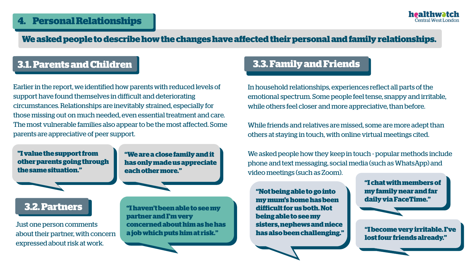#### **We asked people to describe how the changes have affected their personal and family relationships.**

## **3.1. Parents and Children 3.3. Family and Friends**

Earlier in the report, we identified how parents with reduced levels of support have found themselves in difficult and deteriorating circumstances. Relationships are inevitably strained, especially for those missing out on much needed, even essential treatment and care. The most vulnerable families also appear to be the most affected. Some parents are appreciative of peer support.

**"I value the support from other parents going through the same situation."**

**"We are a close family and it has only made us appreciate each other more."**

## **3.2. Partners**

Just one person comments about their partner, with concern expressed about risk at work.

**"I haven't been able to see my partner and I'm very concerned about him as he has a job which puts him at risk."**

In household relationships, experiences reflect all parts of the emotional spectrum. Some people feel tense, snappy and irritable, while others feel closer and more appreciative, than before.

While friends and relatives are missed, some are more adept than others at staying in touch, with online virtual meetings cited.

We asked people how they keep in touch - popular methods include phone and text messaging, social media (such as WhatsApp) and video meetings (such as Zoom).

**"Not being able to go into my mum's home has been difficult for us both. Not being able to see my sisters, nephews and niece**  **"I chat with members of my family near and far daily via FaceTime."**

**has also been challenging." "I become very irritable. I've lost four friends already."**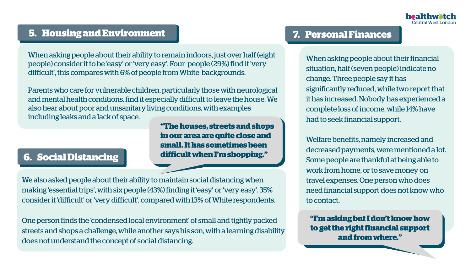## **5. Housing and Environment 7. Personal Finances**

When asking people about their ability to remain indoors, just over half (eight people) consider it to be 'easy' or 'very easy'. Four people (29%) find it 'very difficult', this compares with 6% of people from White backgrounds.

Parents who care for vulnerable children, particularly those with neurological and mental health conditions, find it especially difficult to leave the house. We also hear about poor and unsanitary living conditions, with examples including leaks and a lack of space.

> **in our area are quite close and small. It has sometimes been difficult when I'm shopping."**

**"The houses, streets and shops** 

## **6. Social Distancing**

We also asked people about their ability to maintain social distancing when making 'essential trips', with six people (43%) finding it 'easy' or 'very easy'. 35% consider it 'difficult' or 'very difficult', compared with 13% of White respondents.

One person finds the 'condensed local environment' of small and tightly packed streets and shops a challenge, while another says his son, with a learning disability does not understand the concept of social distancing.

When asking people about their financial situation, half (seven people) indicate no change. Three people say it has significantly reduced, while two report that it has increased. Nobody has experienced a complete loss of income, while 14% have had to seek financial support.

Welfare benefits, namely increased and decreased payments, were mentioned a lot. Some people are thankful at being able to work from home, or to save money on travel expenses. One person who does need financial support does not know who to contact.

**"I'm asking but I don't know how to get the right financial support and from where."**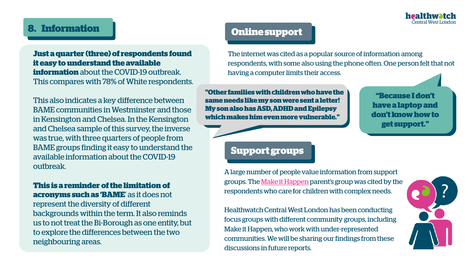![](_page_14_Picture_0.jpeg)

## **8. Information**

#### **Just a quarter (three) of respondents found it easy to understand the available information** about the COVID-19 outbreak. This compares with 78% of White respondents.

This also indicates a key difference between BAME communities in Westminster and those in Kensington and Chelsea. In the Kensington and Chelsea sample of this survey, the inverse was true, with three quarters of people from BAME groups finding it easy to understand the available information about the COVID-19 outbreak.

## **This is a reminder of the limitation of acronyms such as 'BAME**' as it does not

represent the diversity of different backgrounds within the term. It also reminds us to not treat the Bi-Borough as one entity, but to explore the differences between the two neighbouring areas.

## **Online support**

The internet was cited as a popular source of information among respondents, with some also using the phone often. One person felt that not having a computer limits their access.

**"Other families with children who have the same needs like my son were sent a letter! My son also has ASD, ADHD and Epilepsy which makes him even more vulnerable."**

**"Because I don't have a laptop and don't know how to get support."**

### **Support groups Support groups**

A large number of people value information from support groups. The [Make it Happen](https://fisd.westminster.gov.uk/kb5/westminster/fis/service.page?id=rj0qrIRqQmA) parent's group was cited by the respondents who care for children with complex needs.

Healthwatch Central West London has been conducting focus groups with different community groups, including Make it Happen, who work with under-represented communities. We will be sharing our findings from these discussions in future reports.

![](_page_14_Picture_13.jpeg)